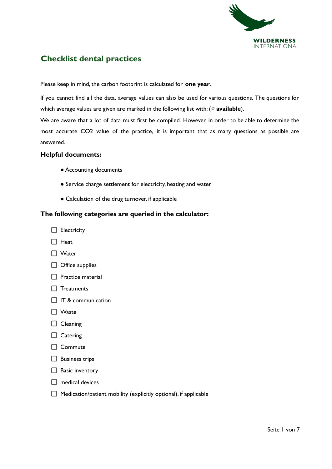

# **Checklist dental practices**

Please keep in mind, the carbon footprint is calculated for **one year**.

If you cannot find all the data, average values can also be used for various questions. The questions for which average values are given are marked in the following list with: (∅ **available**).

We are aware that a lot of data must first be compiled. However, in order to be able to determine the most accurate CO2 value of the practice, it is important that as many questions as possible are answered.

#### **Helpful documents:**

- Accounting documents
- Service charge settlement for electricity, heating and water
- Calculation of the drug turnover, if applicable

#### **The following categories are queried in the calculator:**

- $\Box$  Electricity
- $\Box$  Heat
- Water
- $\Box$  Office supplies
- $\Box$  Practice material
- $\Box$  Treatments
- $\Box$  IT & communication
- □ Waste
- $\Box$  Cleaning
- $\Box$  Catering
- □ Commute
- $\Box$  Business trips
- $\Box$  Basic inventory
- $\Box$  medical devices
- $\Box$  Medication/patient mobility (explicitly optional), if applicable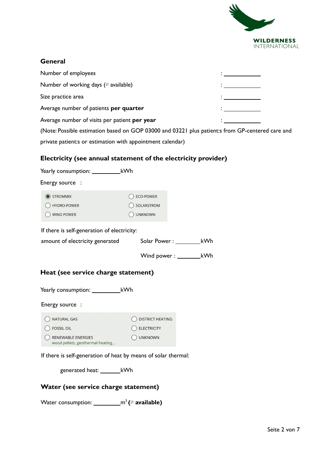

#### **General**

| Number of employees                                                                                                                                                                                                               |  |
|-----------------------------------------------------------------------------------------------------------------------------------------------------------------------------------------------------------------------------------|--|
| Number of working days ( $\oslash$ available)                                                                                                                                                                                     |  |
| Size practice area                                                                                                                                                                                                                |  |
| Average number of patients <b>per quarter</b>                                                                                                                                                                                     |  |
| Average number of visits per patient per year                                                                                                                                                                                     |  |
| $\mathbf{A}$ , and a set of the contract of the contract of the contract of the contract of the contract of the contract of the contract of the contract of the contract of the contract of the contract of the contract of the c |  |

(Note: Possible estimation based on GOP 03000 and 03221 plus patient:s from GP-centered care and private patient:s or estimation with appointment calendar)

## **Electricity (see annual statement of the electricity provider)**

| Yearly consumption: _____________kWh        |                                      |  |  |
|---------------------------------------------|--------------------------------------|--|--|
| Energy source :                             |                                      |  |  |
| STROMMIX<br>HYDRO-POWER<br>wind Power       | ECO-POWER<br>SOLARSTROM<br>) UNKNOWN |  |  |
| If there is self-generation of electricity: |                                      |  |  |
| amount of electricity generated             | kWh<br>Solar Power: ________         |  |  |
|                                             | kWh<br>$W$ ind power : $\_\_$        |  |  |
| Heat (see service charge statement)         |                                      |  |  |
|                                             |                                      |  |  |
| Energy source:                              |                                      |  |  |
| <b>NATURAL GAS</b>                          | <b>DISTRICT HEATING</b>              |  |  |

 $\bigcirc$  FOSSIL OIL  $\bigcirc$  ELECTRICITY RENEWABLE ENERGIES O UNKNOWN wood pellets, geothermal heating...

If there is self-generation of heat by means of solar thermal:

generated heat: kWh

## **Water (see service charge statement)**

**Water consumption: \_\_\_\_\_\_\_\_\_\_\_m<sup>3</sup> (∅ available)**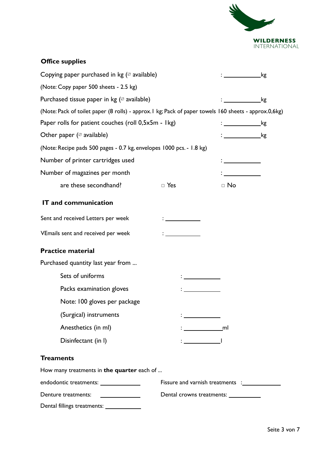

| <b>Office supplies</b>                                                                                |                                                                 |                                                                                                                                                                                                                                      |     |
|-------------------------------------------------------------------------------------------------------|-----------------------------------------------------------------|--------------------------------------------------------------------------------------------------------------------------------------------------------------------------------------------------------------------------------------|-----|
| Copying paper purchased in $kg$ ( $\oslash$ available)                                                | $\mathbf{r}$ and $\mathbf{r}$ and $\mathbf{r}$ and $\mathbf{r}$ | .kg                                                                                                                                                                                                                                  |     |
| (Note: Copy paper 500 sheets - 2.5 kg)                                                                |                                                                 |                                                                                                                                                                                                                                      |     |
| Purchased tissue paper in kg ( $\varnothing$ available)                                               |                                                                 | _kg                                                                                                                                                                                                                                  |     |
| (Note: Pack of toilet paper (8 rolls) - approx. I kg; Pack of paper towels 160 sheets - approx.0,6kg) |                                                                 |                                                                                                                                                                                                                                      |     |
| Paper rolls for patient couches (roll 0,5x5m - Ikg)                                                   |                                                                 | $\mathcal{L}=\mathcal{L}$ . The set of $\mathcal{L}=\mathcal{L}$                                                                                                                                                                     | _kg |
| Other paper ( $\varnothing$ available)                                                                |                                                                 | : ______________kg                                                                                                                                                                                                                   |     |
| (Note: Recipe pads 500 pages - 0.7 kg, envelopes 1000 pcs. - 1.8 kg)                                  |                                                                 |                                                                                                                                                                                                                                      |     |
| Number of printer cartridges used                                                                     |                                                                 | <u> Albanya di Bandari Bandari Bandari Bandari Bandari Bandari Bandari Bandari Bandari Bandari Bandari Bandari Bandari Bandari Bandari Bandari Bandari Bandari Bandari Bandari Bandari Bandari Bandari Bandari Bandari Bandari B</u> |     |
| Number of magazines per month                                                                         |                                                                 |                                                                                                                                                                                                                                      |     |
| are these secondhand?                                                                                 | $\Box$ Yes                                                      | $\Box$ No                                                                                                                                                                                                                            |     |
| <b>IT and communication</b>                                                                           |                                                                 |                                                                                                                                                                                                                                      |     |
| Sent and received Letters per week                                                                    |                                                                 |                                                                                                                                                                                                                                      |     |
| VEmails sent and received per week                                                                    |                                                                 |                                                                                                                                                                                                                                      |     |
| <b>Practice material</b>                                                                              |                                                                 |                                                                                                                                                                                                                                      |     |
| Purchased quantity last year from                                                                     |                                                                 |                                                                                                                                                                                                                                      |     |
| Sets of uniforms                                                                                      |                                                                 |                                                                                                                                                                                                                                      |     |
| Packs examination gloves                                                                              |                                                                 |                                                                                                                                                                                                                                      |     |
| Note: 100 gloves per package                                                                          |                                                                 |                                                                                                                                                                                                                                      |     |
| (Surgical) instruments                                                                                |                                                                 |                                                                                                                                                                                                                                      |     |
| Anesthetics (in ml)                                                                                   |                                                                 |                                                                                                                                                                                                                                      |     |
| Disinfectant (in I)                                                                                   |                                                                 |                                                                                                                                                                                                                                      |     |
| <b>Treaments</b>                                                                                      |                                                                 |                                                                                                                                                                                                                                      |     |
| How many treatments in the quarter each of                                                            |                                                                 |                                                                                                                                                                                                                                      |     |
| endodontic treatments: _______________                                                                |                                                                 |                                                                                                                                                                                                                                      |     |
| Denture treatments:                                                                                   | Dental crowns treatments: ___________                           |                                                                                                                                                                                                                                      |     |
| Dental fillings treatments: _____________                                                             |                                                                 |                                                                                                                                                                                                                                      |     |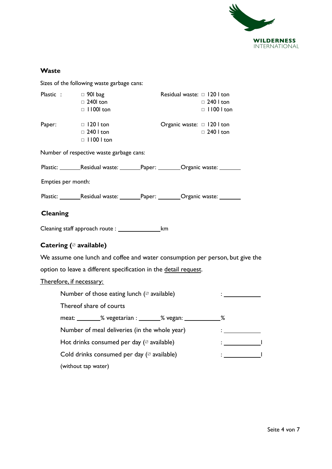

## **Waste**

Sizes of the following waste garbage cans:

|                    | Plastic : $\Box$ 901 bag<br>$\Box$ 240 ton<br>$\Box$ 11001 ton | Residual waste: 0 120 1 ton                                                       | $\Box$ 240 l ton<br>$\Box$ 1100 l ton |
|--------------------|----------------------------------------------------------------|-----------------------------------------------------------------------------------|---------------------------------------|
| Paper:             | $\Box$ 120 l ton<br>$\Box$ 240 l ton<br>$\Box$ 1100 l ton      | Organic waste: □ 120 l ton                                                        | $\Box$ 240 l ton                      |
|                    | Number of respective waste garbage cans:                       |                                                                                   |                                       |
|                    |                                                                | Plastic: _________Residual waste: ________Paper: _________Organic waste: ________ |                                       |
| Empties per month: |                                                                |                                                                                   |                                       |
|                    |                                                                | Plastic: _________Residual waste: ________Paper: _________Organic waste: ________ |                                       |
| <b>Cleaning</b>    |                                                                |                                                                                   |                                       |
|                    | Cleaning staff approach route : _____________________km        |                                                                                   |                                       |
|                    | Catering ( $\oslash$ available)                                |                                                                                   |                                       |
|                    |                                                                | We assume one lunch and coffee and water consumption per person, but give the     |                                       |
|                    |                                                                | option to leave a different specification in the detail request.                  |                                       |
|                    | <u>Therefore, if necessary:</u>                                |                                                                                   |                                       |
|                    | Number of those eating lunch ( $\oslash$ available)            |                                                                                   |                                       |
|                    | Thereof share of courts                                        |                                                                                   |                                       |
|                    |                                                                | meat: _________% vegetarian : ________% vegan: ______________%                    |                                       |

Number of meal deliveries (in the whole year) : Hot drinks consumed per day  $($  available)  $\qquad \qquad : \underline{\qquad \qquad }$ 

Cold drinks consumed per day (∅ available) : l (without tap water)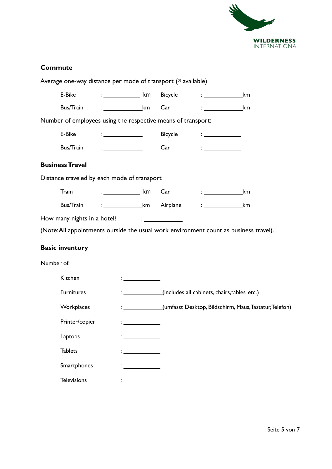

## **Commute**

| Average one-way distance per mode of transport ( $\oslash$ available)                 |                                               |                                                           |                                                                           |                                                                       |
|---------------------------------------------------------------------------------------|-----------------------------------------------|-----------------------------------------------------------|---------------------------------------------------------------------------|-----------------------------------------------------------------------|
| E-Bike                                                                                | $:$ ____________________ km                   | Bicycle                                                   | $\mathcal{L}=\mathcal{L}^{\text{max}}$ , where $\mathcal{L}^{\text{max}}$ | km                                                                    |
| Bus/Train                                                                             | $:$ km                                        | Car                                                       | $\mathbb{R}^n$ . The set of $\mathbb{R}^n$                                | km                                                                    |
| Number of employees using the respective means of transport:                          |                                               |                                                           |                                                                           |                                                                       |
| E-Bike                                                                                | $\frac{1}{2}$ . The contract of $\frac{1}{2}$ | Bicycle                                                   | $\frac{1}{2}$ . The set of $\frac{1}{2}$                                  |                                                                       |
| Bus/Train                                                                             | $\mathcal{L} = \frac{1}{\sqrt{2\pi}}$         | Car                                                       | <u> Alban Maria San A</u>                                                 |                                                                       |
| <b>Business Travel</b>                                                                |                                               |                                                           |                                                                           |                                                                       |
| Distance traveled by each mode of transport                                           |                                               |                                                           |                                                                           |                                                                       |
| Train                                                                                 | : ______________ km                           | Car                                                       | $\mathcal{L}^{\text{max}}$ and the set of $\mathcal{L}^{\text{max}}$      | km                                                                    |
| <b>Bus/Train</b>                                                                      | : _____________________km Airplane            |                                                           |                                                                           | km                                                                    |
| How many nights in a hotel?                                                           |                                               | $\mathcal{L}_{\text{max}}$ and $\mathcal{L}_{\text{max}}$ |                                                                           |                                                                       |
| (Note: All appointments outside the usual work environment count as business travel). |                                               |                                                           |                                                                           |                                                                       |
| <b>Basic inventory</b>                                                                |                                               |                                                           |                                                                           |                                                                       |
| Number of:                                                                            |                                               |                                                           |                                                                           |                                                                       |
| Kitchen                                                                               |                                               |                                                           |                                                                           |                                                                       |
| <b>Furnitures</b>                                                                     |                                               |                                                           | : ______________(includes all cabinets, chairs, tables etc.)              |                                                                       |
| Workplaces                                                                            |                                               |                                                           |                                                                           | : _____________(umfasst Desktop, Bildschirm, Maus, Tastatur, Telefon) |
| Printer/copier                                                                        |                                               |                                                           |                                                                           |                                                                       |
| Laptops                                                                               |                                               |                                                           |                                                                           |                                                                       |
| <b>Tablets</b>                                                                        |                                               |                                                           |                                                                           |                                                                       |
| Smartphones                                                                           |                                               |                                                           |                                                                           |                                                                       |
| <b>Televisions</b>                                                                    |                                               |                                                           |                                                                           |                                                                       |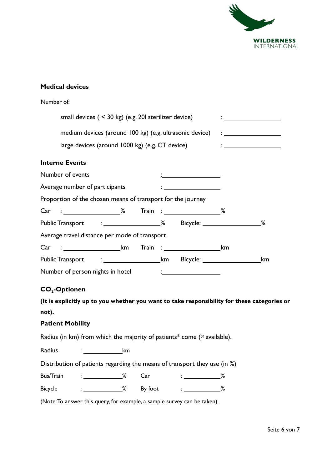

## **Medical devices**

| Number of:                                                                                                                                                                                                                    |                                                                 |                                                                                                                                                                                                                                  |
|-------------------------------------------------------------------------------------------------------------------------------------------------------------------------------------------------------------------------------|-----------------------------------------------------------------|----------------------------------------------------------------------------------------------------------------------------------------------------------------------------------------------------------------------------------|
| small devices $($ < 30 kg) (e.g. 20 sterilizer device)                                                                                                                                                                        |                                                                 | $\mathbf{1}$ and $\mathbf{1}$ and $\mathbf{1}$ and $\mathbf{1}$ and $\mathbf{1}$                                                                                                                                                 |
| medium devices (around 100 kg) (e.g. ultrasonic device)                                                                                                                                                                       |                                                                 | $\frac{1}{2}$ . The set of the set of the set of the set of the set of the set of the set of the set of the set of the set of the set of the set of the set of the set of the set of the set of the set of the set of the set of |
| large devices (around 1000 kg) (e.g. CT device)                                                                                                                                                                               |                                                                 | $\mathcal{L} = \{ \begin{bmatrix} 1 & 0 & 0 \\ 0 & 1 & 0 \\ 0 & 0 & 0 \end{bmatrix} \in \mathbb{R}^n \}$                                                                                                                         |
| <b>Interne Events</b>                                                                                                                                                                                                         |                                                                 |                                                                                                                                                                                                                                  |
| Number of events                                                                                                                                                                                                              |                                                                 |                                                                                                                                                                                                                                  |
| Average number of participants                                                                                                                                                                                                | $\ddot{\cdot}$ . The contract of the contract of $\ddot{\cdot}$ |                                                                                                                                                                                                                                  |
| Proportion of the chosen means of transport for the journey                                                                                                                                                                   |                                                                 |                                                                                                                                                                                                                                  |
| Car : 2008 Main : 2008 Main : 2008 Main : 2008 Main : 2008 Main : 2008 Main : 2008 Main : 2008 Main : 2008 Main : 2008 Main : 2008 Main : 2008 Main : 2008 Main : 2008 Main : 2008 Main : 2008 Main : 2008 Main : 2008 Main : |                                                                 |                                                                                                                                                                                                                                  |
|                                                                                                                                                                                                                               |                                                                 |                                                                                                                                                                                                                                  |
| Average travel distance per mode of transport                                                                                                                                                                                 |                                                                 |                                                                                                                                                                                                                                  |
| Car : km                                                                                                                                                                                                                      | $Train : ____________$                                          |                                                                                                                                                                                                                                  |
|                                                                                                                                                                                                                               |                                                                 | km                                                                                                                                                                                                                               |
| Number of person nights in hotel                                                                                                                                                                                              |                                                                 |                                                                                                                                                                                                                                  |

## **CO2-Optionen**

**(It is explicitly up to you whether you want to take responsibility for these categories or not).**

#### **Patient Mobility**

Radius (in km) from which the majority of patients\* come ( $\varnothing$  available).

Radius : km

Distribution of patients regarding the means of transport they use (in %)

| Bus/Train |  | - - |  |
|-----------|--|-----|--|
|           |  |     |  |

Bicycle : \_\_\_\_\_\_\_\_\_\_\_\_\_\_% By foot : \_\_\_\_\_\_\_\_\_\_\_\_\_%

(Note:To answer this query, for example, a sample survey can be taken).